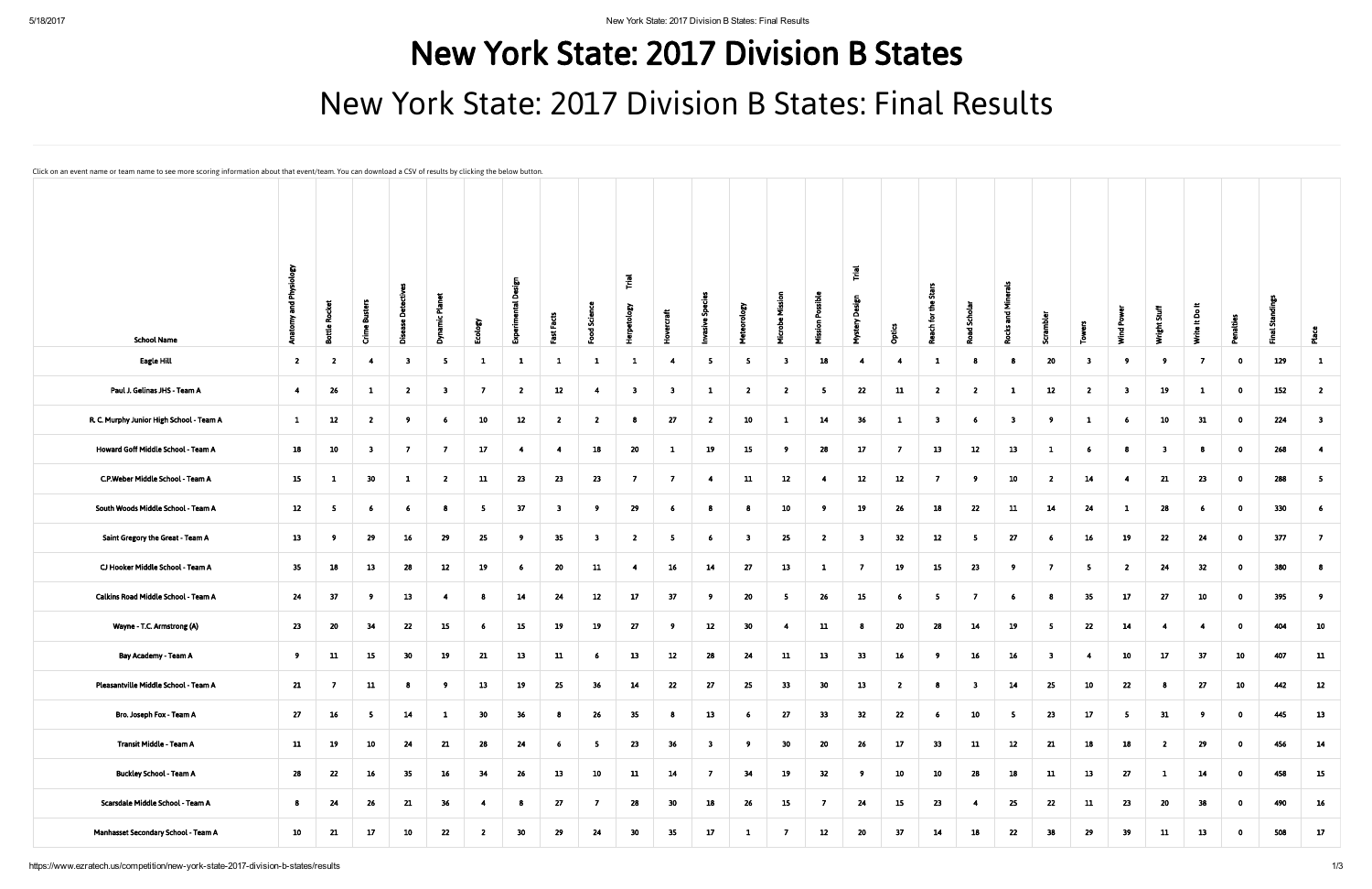## New York State: 2017 Division B States New York State: 2017 Division B States: Final Results

Can download a CSV of results by clicking the below

| Click on an event name or team name to see more scoring information about that event/team. You can download a CSV of results by clicking the below button. |                               |                               |                  |                         |                |                 |                 |                         |                         |                         |                 |                |                         |                         |                         |                           |                |                                       |                         |                         |                         |                          |                         |                         |                |                         |          |                         |
|------------------------------------------------------------------------------------------------------------------------------------------------------------|-------------------------------|-------------------------------|------------------|-------------------------|----------------|-----------------|-----------------|-------------------------|-------------------------|-------------------------|-----------------|----------------|-------------------------|-------------------------|-------------------------|---------------------------|----------------|---------------------------------------|-------------------------|-------------------------|-------------------------|--------------------------|-------------------------|-------------------------|----------------|-------------------------|----------|-------------------------|
| <b>School Name</b>                                                                                                                                         | <b>Anatomy and Physiology</b> | Rocket<br>$\frac{9}{12}$<br>ã | Busters<br>Crime | ā                       | تھ<br>ع<br>క్  | Ecology         | Ō<br>್          | œ<br>$\mathbf{H}$       | <b>Define</b>           | rpetology               | ercraft<br>운    |                |                         | Missi<br><b>Microbe</b> | <b>Mission Possible</b> | $\vec{r}$<br>ŏ<br>Mystery | n<br>Ö         | Stars<br>£<br>ē<br>Reach <sup>-</sup> | ्ट्र<br>್               | ᅙ                       | rambler<br>5            | ٢.<br>혼                  | Wind Pow                | Wright Stuff            | Write It Do It | Penaltie                | ្លូ<br>迀 |                         |
| <b>Eagle Hill</b>                                                                                                                                          | $\overline{2}$                | $\overline{2}$                | $\overline{4}$   | $\overline{\mathbf{3}}$ | -5             | $\mathbf{1}$    | $\mathbf{1}$    | $\mathbf{1}$            | $\mathbf{1}$            | $\mathbf{1}$            | -4              | - 5            | 5                       | $\overline{\mathbf{3}}$ | 18                      | -4                        | -4             | $\mathbf{1}$                          | 8                       | 8                       | 20                      | $\overline{\mathbf{3}}$  | -9                      | - 9                     | - 7            | $\bullet$               | 129      | $\mathbf{1}$            |
| Paul J. Gelinas JHS - Team A                                                                                                                               | $\overline{4}$                | 26                            | -1               | $\overline{2}$          | -3             | $\overline{7}$  | $\overline{2}$  | 12                      | $\overline{4}$          | $\overline{\mathbf{3}}$ | - 3             | $\mathbf{1}$   | $\overline{2}$          | $\overline{2}$          | 5                       | 22                        | 11             | $\overline{2}$                        | $\overline{2}$          | $\mathbf{1}$            | 12                      | $\overline{2}$           | $\overline{\mathbf{3}}$ | 19                      | $\mathbf{1}$   | $\bullet$               | 152      | $\overline{2}$          |
| R. C. Murphy Junior High School - Team A                                                                                                                   | $\mathbf{1}$                  | 12                            | $\overline{2}$   | - 9                     | -6             | 10              | 12              | $\overline{2}$          | $\overline{2}$          | -8                      | 27              | $\overline{2}$ | 10                      | $\mathbf{1}$            | 14                      | 36                        | $\mathbf{1}$   | - 3                                   | 6                       | $\overline{\mathbf{3}}$ | 9                       | $\mathbf{1}$             | -6                      | 10                      | 31             | $\bullet$               | 224      | $\overline{\mathbf{3}}$ |
| Howard Goff Middle School - Team A                                                                                                                         | 18                            | 10                            | -3               | $\overline{7}$          | -7             | 17 <sub>2</sub> | $\overline{4}$  | $\overline{4}$          | 18                      | 20                      | $\mathbf{1}$    | 19             | 15                      | 9                       | 28                      | 17                        | $\overline{7}$ | 13                                    | 12                      | 13                      | $\mathbf{1}$            | 6                        | -8                      | $\overline{\mathbf{3}}$ |                | $\bullet$               | 268      | $\overline{\mathbf{4}}$ |
| C.P.Weber Middle School - Team A                                                                                                                           | 15                            | $\mathbf{1}$                  | 30 <sub>o</sub>  | $\mathbf{1}$            | $\overline{2}$ | 11              | 23              | 23                      | 23                      | $\overline{7}$          | $\overline{7}$  | $\overline{4}$ | 11                      | 12                      | $\overline{4}$          | 12                        | 12             | $\overline{7}$                        | $\overline{9}$          | 10                      | $\overline{2}$          | 14                       | $\overline{4}$          | 21                      | 23             | $\bullet$               | 288      | 5 <sub>5</sub>          |
| South Woods Middle School - Team A                                                                                                                         | 12                            | 5                             | - 6              | - 6                     | -8             | $5^{\circ}$     | 37              | $\overline{\mathbf{3}}$ | - 9                     | 29                      | - 6             | 8              | 8                       | 10                      | - 9                     | 19                        | 26             | 18                                    | 22                      | 11                      | 14                      | 24                       | 1                       | 28                      | 6              | $\bullet$               | 330      | -6                      |
| Saint Gregory the Great - Team A                                                                                                                           | 13                            | -9                            | 29               | 16                      | 29             | 25              | 9 <sup>1</sup>  | 35                      | $\overline{\mathbf{3}}$ | $\overline{2}$          | -5              | $6^{\circ}$    | $\overline{\mathbf{3}}$ | 25                      | $\overline{2}$          | $\overline{\mathbf{3}}$   | 32             | 12                                    | 5 <sub>1</sub>          | 27                      | 6                       | 16                       | 19                      | 22                      | 24             | $\bullet$               | 377      | $\overline{7}$          |
| CJ Hooker Middle School - Team A                                                                                                                           | 35                            | 18                            | 13               | 28                      | 12             | 19              | $6\overline{6}$ | 20                      | 11                      | $\overline{4}$          | 16              | 14             | 27                      | 13                      | $\mathbf{1}$            | $\overline{7}$            | 19             | 15                                    | 23                      | 9                       | $\overline{7}$          | $\overline{\phantom{0}}$ | $\overline{2}$          | 24                      | 32             | $\bullet$               | 380      | -8                      |
| Calkins Road Middle School - Team A                                                                                                                        | 24                            | 37                            | - 9              | 13                      | -4             | 8               | 14              | 24                      | 12                      | 17                      | 37              | -9             | 20                      | 5 <sub>5</sub>          | 26                      | 15                        | 6              | 5                                     | $\overline{7}$          | 6 <sup>1</sup>          | 8                       | 35                       | 17                      | 27                      | 10             | $\bullet$               | 395      | -9                      |
| Wayne - T.C. Armstrong (A)                                                                                                                                 | 23                            | 20                            | 34               | 22                      | 15             | 6 <sub>1</sub>  | 15              | 19                      | 19                      | 27                      | - 9             | 12             | 30                      | $\overline{4}$          | ${\bf 11}$              | 8                         | 20             | 28                                    | 14                      | 19                      | 5                       | 22                       | 14                      | $\overline{4}$          | $\overline{4}$ | $\bullet$               | 404      | 10                      |
| Bay Academy - Team A                                                                                                                                       | 9                             | 11                            | 15               | 30                      | 19             | 21              | 13              | 11                      | - 6                     | 13                      | 12              | 28             | 24                      | 11                      | 13                      | 33                        | 16             | -9                                    | 16 <sup>1</sup>         | 16                      | $\overline{\mathbf{3}}$ | 4                        | 10                      | 17                      | 37             | 10                      | 407      | 11                      |
| Pleasantville Middle School - Team A                                                                                                                       | 21                            | - 7                           | 11               | 8                       | - 9            | 13              | 19              | 25                      | 36                      | 14                      | 22              | 27             | 25                      | 33                      | 30                      | 13                        | $\overline{2}$ | 8                                     | $\overline{\mathbf{3}}$ | 14                      | 25                      | 10                       | 22                      | -8                      | 27             | 10                      | 442      | 12                      |
| Bro. Joseph Fox - Team A                                                                                                                                   | 27                            | 16                            | 5 <sub>1</sub>   | 14                      | $\mathbf{1}$   | 30 <sub>o</sub> | 36 <sub>2</sub> | 8                       | 26                      | 35                      | - 8             | 13             | 6 <sup>1</sup>          | 27                      | 33                      | 32                        | 22             | -6                                    | 10                      | 5 <sub>1</sub>          | 23                      | 17                       | $\overline{5}$          | 31                      | 9 <sup>°</sup> | $\overline{\mathbf{0}}$ | 445      | 13                      |
| Transit Middle - Team A                                                                                                                                    | 11                            | 19                            | 10               | 24                      | 21             | 28              | 24              | 6 <sub>1</sub>          | - 5                     | 23                      | 36              | $\mathbf{3}$   | -9                      | 30 <sub>o</sub>         | 20                      | 26                        | 17             | 33                                    | 11                      | 12                      | 21                      | 18                       | 18                      | $\mathbf{2}$            | 29             | $\bullet$               | 456      | 14                      |
| <b>Buckley School - Team A</b>                                                                                                                             | 28                            | 22                            | $16\phantom{.0}$ | 35                      | 16             | 34              | 26              | 13                      | 10                      | 11                      | 14              | $\overline{7}$ | 34                      | 19                      | 32                      | 9                         | 10             | 10 <sub>1</sub>                       | 28                      | 18                      | 11                      | 13                       | 27                      | -1                      | 14             | $\bullet$               | 458      | 15                      |
| Scarsdale Middle School - Team A                                                                                                                           | $\bf{8}$                      | 24                            | 26               | 21                      | 36             | 4               | 8               | 27                      | $\overline{7}$          | 28                      | 30 <sub>o</sub> | 18             | 26                      | 15                      | $\overline{7}$          | 24                        | 15             | 23                                    | $\overline{4}$          | 25                      | $\bf 22$                | 11                       | 23                      | 20                      | 38             | $\bullet$               | 490      | 16                      |
| Manhasset Secondary School - Team A                                                                                                                        | 10                            | 21                            | 17 <sub>2</sub>  | 10                      | 22             | $\overline{2}$  | 30 <sub>o</sub> | 29                      | 24                      | 30                      | 35              | 17             | $\mathbf{1}$            | $\overline{7}$          | 12                      | 20                        | 37             | 14                                    | 18                      | 22                      | 38                      | 29                       | 39                      | 11                      | 13             | $\mathbf{0}$            | 508      | 17                      |